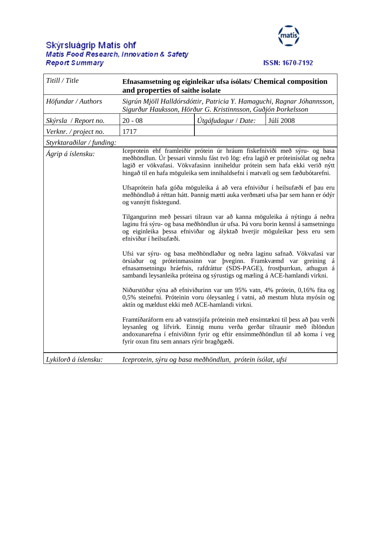## Skýrsluágrip Matís ohf<br>Matis Food Research, Innovation & Safety **Report Summary**



**ISSN: 1670-7192** 

| Titill / Title            | Efnasamsetning og eiginleikar ufsa ísólats/ Chemical composition<br>and properties of saithe isolate<br>Sigrún Mjöll Halldórsdóttir, Patricia Y. Hamaguchi, Ragnar Jóhannsson,<br>Sigurður Hauksson, Hörður G. Kristinnsson, Guðjón Þorkelsson                                                                                                                                                                                                                                                                             |                     |           |
|---------------------------|----------------------------------------------------------------------------------------------------------------------------------------------------------------------------------------------------------------------------------------------------------------------------------------------------------------------------------------------------------------------------------------------------------------------------------------------------------------------------------------------------------------------------|---------------------|-----------|
| Höfundar / Authors        |                                                                                                                                                                                                                                                                                                                                                                                                                                                                                                                            |                     |           |
| Skýrsla / Report no.      | $20 - 08$                                                                                                                                                                                                                                                                                                                                                                                                                                                                                                                  | Útgáfudagur / Date: | Júlí 2008 |
| Verknr. / project no.     | 1717                                                                                                                                                                                                                                                                                                                                                                                                                                                                                                                       |                     |           |
| Styrktaraðilar / funding: |                                                                                                                                                                                                                                                                                                                                                                                                                                                                                                                            |                     |           |
| Ágrip á íslensku:         | Iceprotein ehf framleiðir prótein úr hráum fiskefniviði með sýru- og basa<br>meðhöndlun. Úr þessari vinnslu fást tvö lög: efra lagið er próteinísólat og neðra<br>lagið er vökvafasi. Vökvafasinn inniheldur prótein sem hafa ekki verið nýtt<br>hingað til en hafa möguleika sem innihaldsefni í matvæli og sem fæðubótarefni.<br>Ufsaprótein hafa góða möguleika á að vera efniviður í heilsufæði ef þau eru<br>meðhöndluð á réttan hátt. Þannig mætti auka verðmæti ufsa þar sem hann er ódýr<br>og vannýtt fisktegund. |                     |           |
|                           | Tilgangurinn með þessari tilraun var að kanna möguleika á nýtingu á neðra<br>laginu frá sýru- og basa meðhöndlun úr ufsa. Þá voru borin kennsl á samsetningu<br>og eiginleika þessa efniviðar og ályktað hverjir möguleikar þess eru sem<br>efniviður í heilsufæði.                                                                                                                                                                                                                                                        |                     |           |
|                           | Ufsi var sýru- og basa meðhöndlaður og neðra laginu safnað. Vökvafasi var<br>örsíaður og próteinmassinn var þveginn. Framkvæmd var greining á<br>efnasamsetningu hráefnis, rafdráttur (SDS-PAGE), frostþurrkun, athugun á<br>sambandi leysanleika próteina og sýrustigs og mæling á ACE-hamlandi virkni.                                                                                                                                                                                                                   |                     |           |
|                           | Niðurstöður sýna að efniviðurinn var um 95% vatn, 4% prótein, 0,16% fita og<br>0,5% steinefni. Próteinin voru óleysanleg í vatni, að mestum hluta myósín og<br>aktín og mældust ekki með ACE-hamlandi virkni.                                                                                                                                                                                                                                                                                                              |                     |           |
|                           | Framtíðaráform eru að vatnsrjúfa próteinin með ensímtækni til þess að þau verði<br>leysanleg og lífvirk. Einnig munu verða gerðar tilraunir með íblöndun<br>andoxunarefna í efniviðinn fyrir og eftir ensímmeðhöndlun til að koma í veg<br>fyrir oxun fitu sem annars rýrir bragðgæði.                                                                                                                                                                                                                                     |                     |           |
| Lykilorð á íslensku:      | Iceprotein, sýru og basa meðhöndlun, prótein ísólat, ufsi                                                                                                                                                                                                                                                                                                                                                                                                                                                                  |                     |           |